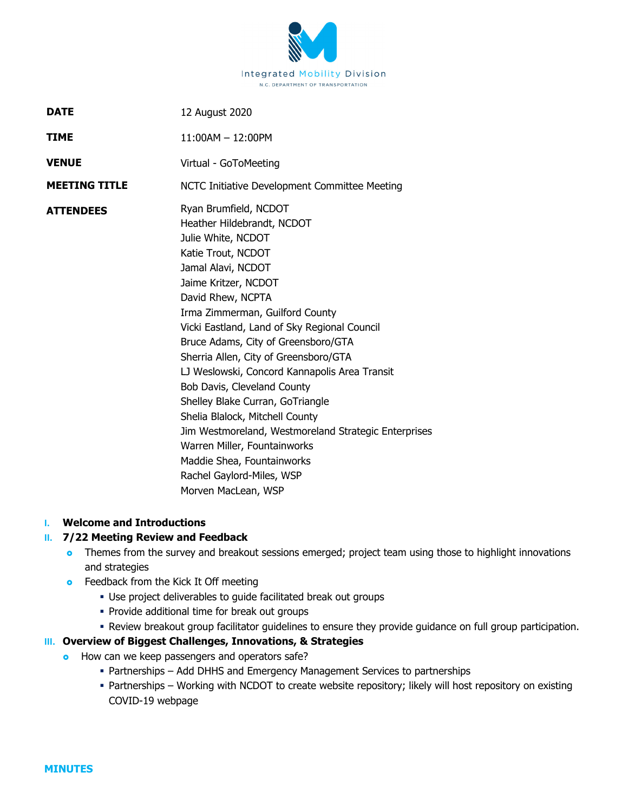

| <b>DATE</b>          | 12 August 2020                                                                                                                                                                                                                                                                                                                                                                                                                                                                                                                                                                                                                                                         |
|----------------------|------------------------------------------------------------------------------------------------------------------------------------------------------------------------------------------------------------------------------------------------------------------------------------------------------------------------------------------------------------------------------------------------------------------------------------------------------------------------------------------------------------------------------------------------------------------------------------------------------------------------------------------------------------------------|
| TIME                 | $11:00AM - 12:00PM$                                                                                                                                                                                                                                                                                                                                                                                                                                                                                                                                                                                                                                                    |
| <b>VENUE</b>         | Virtual - GoToMeeting                                                                                                                                                                                                                                                                                                                                                                                                                                                                                                                                                                                                                                                  |
| <b>MEETING TITLE</b> | NCTC Initiative Development Committee Meeting                                                                                                                                                                                                                                                                                                                                                                                                                                                                                                                                                                                                                          |
| <b>ATTENDEES</b>     | Ryan Brumfield, NCDOT<br>Heather Hildebrandt, NCDOT<br>Julie White, NCDOT<br>Katie Trout, NCDOT<br>Jamal Alavi, NCDOT<br>Jaime Kritzer, NCDOT<br>David Rhew, NCPTA<br>Irma Zimmerman, Guilford County<br>Vicki Eastland, Land of Sky Regional Council<br>Bruce Adams, City of Greensboro/GTA<br>Sherria Allen, City of Greensboro/GTA<br>LJ Weslowski, Concord Kannapolis Area Transit<br>Bob Davis, Cleveland County<br>Shelley Blake Curran, GoTriangle<br>Shelia Blalock, Mitchell County<br>Jim Westmoreland, Westmoreland Strategic Enterprises<br>Warren Miller, Fountainworks<br>Maddie Shea, Fountainworks<br>Rachel Gaylord-Miles, WSP<br>Morven MacLean, WSP |

## **I. Welcome and Introductions**

## **II. 7/22 Meeting Review and Feedback**

- **o** Themes from the survey and breakout sessions emerged; project team using those to highlight innovations and strategies
- **•** Feedback from the Kick It Off meeting
	- Use project deliverables to guide facilitated break out groups
	- **Provide additional time for break out groups**
	- Review breakout group facilitator guidelines to ensure they provide guidance on full group participation.

## **III. Overview of Biggest Challenges, Innovations, & Strategies**

- **o** How can we keep passengers and operators safe?
	- Partnerships Add DHHS and Emergency Management Services to partnerships
	- Partnerships Working with NCDOT to create website repository; likely will host repository on existing COVID-19 webpage